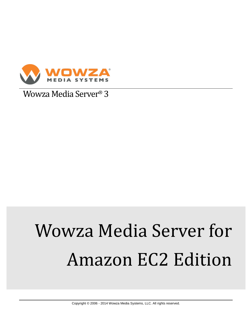

Wowza Media Server® 3

# Wowza Media Server for Amazon EC2 Edition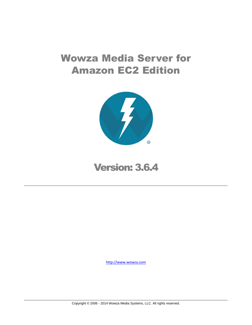# Wowza Media Server for Amazon EC2 Edition



Version: 3.6.4

[http://www.wowza.com](http://www.wowza.com/)

Copyright © 2006 - 2014 Wowza Media Systems, LLC. All rights reserved.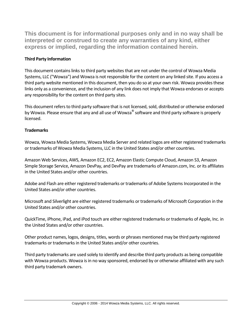**This document is for informational purposes only and in no way shall be interpreted or construed to create any warranties of any kind, either express or implied, regarding the information contained herein.**

# **Third Party Information**

This document contains links to third party websites that are not under the control of Wowza Media Systems, LLC ("Wowza") and Wowza is not responsible for the content on any linked site. If you access a third party website mentioned in this document, then you do so at your own risk. Wowza provides these links only as a convenience, and the inclusion of any link does not imply that Wowza endorses or accepts any responsibility for the content on third party sites.

This document refers to third party software that is not licensed, sold, distributed or otherwise endorsed by Wowza. Please ensure that any and all use of Wowza<sup>®</sup> software and third party software is properly licensed.

### **Trademarks**

Wowza, Wowza Media Systems, Wowza Media Server and related logos are either registered trademarks or trademarks of Wowza Media Systems, LLC in the United States and/or other countries.

Amazon Web Services, AWS, Amazon EC2, EC2, Amazon Elastic Compute Cloud, Amazon S3, Amazon Simple Storage Service, Amazon DevPay, and DevPay are trademarks of Amazon.com, Inc. or its affiliates in the United States and/or other countries.

Adobe and Flash are either registered trademarks or trademarks of Adobe Systems Incorporated in the United States and/or other countries.

Microsoft and Silverlight are either registered trademarks or trademarks of Microsoft Corporation in the United States and/or other countries.

QuickTime, iPhone, iPad, and iPod touch are either registered trademarks or trademarks of Apple, Inc. in the United States and/or other countries.

Other product names, logos, designs, titles, words or phrases mentioned may be third party registered trademarks or trademarks in the United States and/or other countries.

Third party trademarks are used solely to identify and describe third party products as being compatible with Wowza products. Wowza is in no way sponsored, endorsed by or otherwise affiliated with any such third party trademark owners.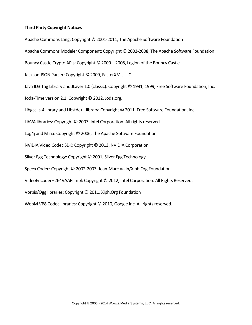### **Third Party Copyright Notices**

Apache Commons Lang: Copyright © 2001-2011, The Apache Software Foundation Apache Commons Modeler Component: Copyright © 2002-2008, The Apache Software Foundation Bouncy Castle Crypto APIs: Copyright © 2000 – 2008, Legion of the Bouncy Castle Jackson JSON Parser: Copyright © 2009, FasterXML, LLC Java ID3 Tag Library and JLayer 1.0 (classic): Copyright © 1991, 1999, Free Software Foundation, Inc. Joda-Time version 2.1: Copyright © 2012, Joda.org. Libgcc s-4 library and Libstdc++ library: Copyright © 2011, Free Software Foundation, Inc. LibVA libraries: Copyright © 2007, Intel Corporation. All rights reserved. Log4j and Mina: Copyright © 2006, The Apache Software Foundation NVIDIA Video Codec SDK: Copyright © 2013, NVIDIA Corporation Silver Egg Technology: Copyright © 2001, Silver Egg Technology Speex Codec: Copyright © 2002-2003, Jean-Marc Valin/Xiph.Org Foundation VideoEncoderH264VAAPllmpl: Copyright © 2012, Intel Corporation. All Rights Reserved. Vorbis/Ogg libraries: Copyright © 2011, Xiph.Org Foundation WebM VP8 Codec libraries: Copyright © 2010, Google Inc. All rights reserved.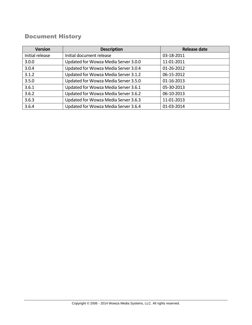# Document History

| <b>Version</b>  | <b>Description</b>                   | <b>Release date</b> |
|-----------------|--------------------------------------|---------------------|
| Initial release | Initial document release             | 03-18-2011          |
| 3.0.0           | Updated for Wowza Media Server 3.0.0 | 11-01-2011          |
| 3.0.4           | Updated for Wowza Media Server 3.0.4 | 01-26-2012          |
| 3.1.2           | Updated for Wowza Media Server 3.1.2 | 06-15-2012          |
| 3.5.0           | Updated for Wowza Media Server 3.5.0 | 01-16-2013          |
| 3.6.1           | Updated for Wowza Media Server 3.6.1 | 05-30-2013          |
| 3.6.2           | Updated for Wowza Media Server 3.6.2 | 06-10-2013          |
| 3.6.3           | Updated for Wowza Media Server 3.6.3 | 11-01-2013          |
| 3.6.4           | Updated for Wowza Media Server 3.6.4 | 01-03-2014          |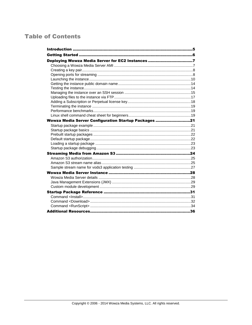# **Table of Contents**

| Deploying Wowza Media Server for EC2 Instances 7     |  |
|------------------------------------------------------|--|
|                                                      |  |
|                                                      |  |
|                                                      |  |
|                                                      |  |
|                                                      |  |
|                                                      |  |
|                                                      |  |
|                                                      |  |
|                                                      |  |
|                                                      |  |
|                                                      |  |
| Wowza Media Server Configuration Startup Packages 21 |  |
|                                                      |  |
|                                                      |  |
|                                                      |  |
|                                                      |  |
|                                                      |  |
|                                                      |  |
|                                                      |  |
|                                                      |  |
|                                                      |  |
|                                                      |  |
|                                                      |  |
|                                                      |  |
|                                                      |  |
|                                                      |  |
|                                                      |  |
|                                                      |  |
|                                                      |  |
|                                                      |  |
|                                                      |  |
|                                                      |  |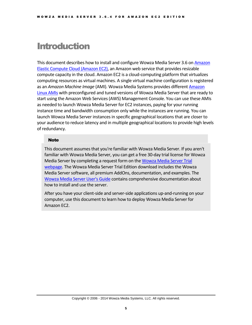# <span id="page-6-0"></span>Introduction

This document describes how to install and configure Wowza Media Server 3.6 o[n Amazon](http://aws.amazon.com/ec2/)  [Elastic Compute Cloud \(Amazon](http://aws.amazon.com/ec2/) EC2), an Amazon web service that provides resizable compute capacity in the cloud. Amazon EC2 is a cloud-computing platform that virtualizes computing resources as virtual machines. A single virtual machine configuration is registered as an *Amazon Machine Image* (AMI). Wowza Media Systems provides different [Amazon](http://aws.amazon.com/amazon-linux-ami/)  [Linux AMIs](http://aws.amazon.com/amazon-linux-ami/) with preconfigured and tuned versions of Wowza Media Server that are ready to start using the Amazon Web Services (AWS) Management Console. You can use these AMIs as needed to launch Wowza Media Server for EC2 instances, paying for your running instance time and bandwidth consumption only while the instances are running. You can launch Wowza Media Server instances in specific geographical locations that are closer to your audience to reduce latency and in multiple geographical locations to provide high levels of redundancy.

### **Note**

This document assumes that you're familiar with Wowza Media Server. If you aren't familiar with Wowza Media Server, you can get a free 30-day trial license for Wowza Media Server by completing a request form on the [Wowza Media Server Trial](http://www.wowza.com/pricing/trial)  [webpage.](http://www.wowza.com/pricing/trial) The Wowza Media Server Trial Edition download includes the Wowza Media Server software, all premium AddOns, documentation, and examples. The [Wowza Media Server](http://www.wowza.com/docredirect.php?doc=usersGuideServer_3_6_4) User's Guide contains comprehensive documentation about how to install and use the server.

After you have your client-side and server-side applications up-and-running on your computer, use this document to learn how to deploy Wowza Media Server for Amazon EC2.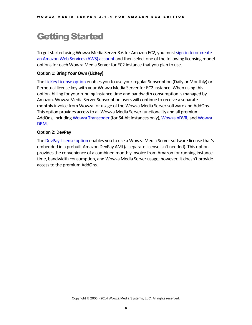# <span id="page-7-0"></span>Getting Started

To get started using Wowza Media Server 3.6 for Amazon EC2, you must [sign-in to or create](https://aws-portal.amazon.com/gp/aws/user/subscription/index.html?offeringCode=F2CD62C1)  [an Amazon Web Services \(AWS\) account](https://aws-portal.amazon.com/gp/aws/user/subscription/index.html?offeringCode=F2CD62C1) and then select one of the following licensing model options for each Wowza Media Server for EC2 instance that you plan to use.

### **Option 1: Bring Your Own (LicKey)**

The [LicKey License option](http://www.wowza.com/pricing/ec2-streaming#regular-wowza-licenses) enables you to use your regular Subscription (Daily or Monthly) or Perpetual license key with your Wowza Media Server for EC2 instance. When using this option, billing for your running instance time and bandwidth consumption is managed by Amazon. Wowza Media Server Subscription users will continue to receive a separate monthly invoice from Wowza for usage of the Wowza Media Server software and AddOns. This option provides access to all Wowza Media Server functionality and all premium AddOns, includin[g Wowza Transcoder](http://www.wowza.com/addons/wowza-transcoder-addon) (for 64-bit instances only), [Wowza nDVR,](http://www.wowza.com/addons/wowza-ndvr-addon) an[d Wowza](http://www.wowza.com/addons/DRM-server)  [DRM.](http://www.wowza.com/addons/DRM-server)

### **Option 2: DevPay**

The [DevPay License option](http://www.wowza.com/pricing/ec2-streaming#embedded-license) enables you to use a Wowza Media Server software license that's embedded in a prebuilt Amazon DevPay AMI (a separate license isn't needed). This option provides the convenience of a combined monthly invoice from Amazon for running instance time, bandwidth consumption, and Wowza Media Server usage; however, it doesn't provide access to the premium AddOns.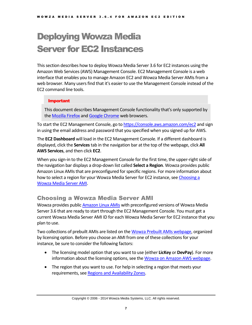# <span id="page-8-0"></span>Deploying Wowza Media Server for EC2 Instances

This section describes how to deploy Wowza Media Server 3.6 for EC2 instances using the Amazon Web Services (AWS) Management Console. EC2 Management Console is a web interface that enables you to manage Amazon EC2 and Wowza Media Server AMIs from a web browser. Many users find that it's easier to use the Management Console instead of the EC2 command line tools.

### Important

This document describes Management Console functionality that's only supported by the [Mozilla Firefox](http://www.mozilla.org/firefox) an[d Google Chrome](http://www.google.com/chrome) web browsers.

To start the EC2 Management Console, go to<https://console.aws.amazon.com/ec2> and sign in using the email address and password that you specified when you signed up for AWS.

The **EC2 Dashboard** will load in the EC2 Management Console. If a different dashboard is displayed, click the **Services**tab in the navigation bar at the top of the webpage, click **All AWS Services**, and then click **EC2**.

When you sign-in to the EC2 Management Console for the first time, the upper-right side of the navigation bar displays a drop-down list called **Select a Region**. Wowza provides public Amazon Linux AMIs that are preconfigured for specific regions. For more information about how to select a region for your Wowza Media Server for EC2 instance, se[e Choosing a](#page-8-1)  [Wowza Media Server AMI.](#page-8-1)

# <span id="page-8-1"></span>Choosing a Wowza Media Server AMI

Wowza provides publi[c Amazon Linux AMIs](http://aws.amazon.com/amazon-linux-ami/) with preconfigured versions of Wowza Media Server 3.6 that are ready to start through the EC2 Management Console. You must get a current Wowza Media Server AMI ID for each Wowza Media Server for EC2 instance that you plan to use.

Two collections of prebuilt AMIs are listed on th[e Wowza Prebuilt AMIs webpage,](http://www.wowza.com/forums/content.php?23) organized by licensing option. Before you choose an AMI from one of these collections for your instance, be sure to consider the following factors:

- The licensing model option that you want to use (either **LicKey** or **DevPay**). For more information about the licensing options, see th[e Wowza on Amazon AWS webpage.](http://www.wowza.com/pricing/ec2-streaming)
- The region that you want to use. For help in selecting a region that meets your requirements, see [Regions and Availability Zones.](http://docs.amazonwebservices.com/AWSEC2/latest/UserGuide/using-regions-availability-zones.html)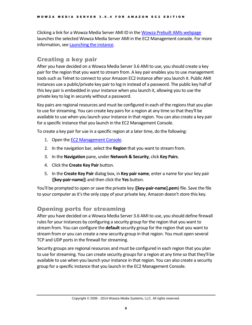Clicking a link for a Wowza Media Server AMI ID in th[e Wowza Prebuilt AMIs webpage](http://www.wowza.com/forums/content.php?23) launches the selected Wowza Media Server AMI in the EC2 Management console. For more information, see [Launching the instance.](#page-10-0)

# <span id="page-9-0"></span>Creating a key pair

After you have decided on a Wowza Media Server 3.6 AMI to use, you should create a key pair for the region that you want to stream from. A key pair enables you to use management tools such as Telnet to connect to your Amazon EC2 instance after you launch it. Public AMI instances use a public/private key pair to log in instead of a password. The public key half of this key pair is embedded in your instance when you launch it, allowing you to use the private key to log in securely without a password.

Key pairs are regional resources and must be configured in each of the regions that you plan to use for streaming. You can create key pairs for a region at any time so that they'll be available to use when you launch your instance in that region. You can also create a key pair for a specific instance that you launch in the EC2 Management Console.

To create a key pair for use in a specific region at a later time, do the following:

- 1. Open the EC2 [Management Console.](https://console.aws.amazon.com/ec2)
- 2. In the navigation bar, select the **Region** that you want to stream from.
- 3. In the **Navigation** pane, under **Network & Security**, click **Key Pairs**.
- 4. Click the **Create Key Pair** button.
- 5. In the **Create Key Pair** dialog box, in **Key pair name**, enter a name for your key pair (**[key-pair-name]**) and then click the **Yes** button.

You'll be prompted to open or save the private key (**[key-pair-name].pem**) file. Save the file to your computer as it's the only copy of your private key. Amazon doesn't store this key.

# <span id="page-9-1"></span>Opening ports for streaming

After you have decided on a Wowza Media Server 3.6 AMI to use, you should define firewall rules for your instances by configuring a security group for the region that you want to stream from. You can configure the **default**security group for the region that you want to stream from or you can create a new security group in that region. You must open several TCP and UDP ports in the firewall for streaming.

Security groups are regional resources and must be configured in each region that you plan to use for streaming. You can create security groups for a region at any time so that they'll be available to use when you launch your instance in that region. You can also create a security group for a specific instance that you launch in the EC2 Management Console.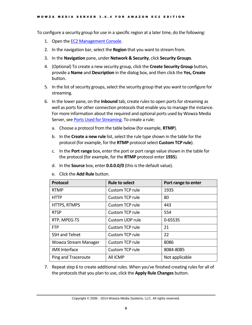To configure a security group for use in a specific region at a later time, do the following:

- 1. Open the [EC2 Management Console.](https://console.aws.amazon.com/ec2)
- 2. In the navigation bar, select the **Region** that you want to stream from.
- 3. In the **Navigation** pane, under **Network & Security**, click **Security Groups**.
- 4. (Optional) To create a new security group, click the **Create Security Group** button, provide a **Name** and **Description** in the dialog box, and then click the **Yes, Create** button.
- 5. In the list of security groups, select the security group that you want to configure for streaming.
- 6. In the lower pane, on the **Inbound** tab, create rulesto open ports for streaming as well as ports for other connection protocols that enable you to manage the instance. For more information about the required and optional ports used by Wowza Media Server, se[e Ports Used for Streaming.](http://www.wowza.com/forums/content.php?217#openPorts) To create a rule:
	- a. Choose a protocol from the table below (for example, **RTMP**).
	- b. In the **Create a new rule** list, select the rule type shown in the table for the protocol (for example, for the **RTMP** protocol select **Custom TCP rule**).
	- c. In the **Port range** box, enter the port or port range value shown in the table for the protocol (for example, for the **RTMP** protocol enter **1935**).
	- d. In the **Source** box, enter **0.0.0.0/0** (this is the default value).

| Protocol              | <b>Rule to select</b> | Port range to enter |
|-----------------------|-----------------------|---------------------|
| <b>RTMP</b>           | Custom TCP rule       | 1935                |
| <b>HTTP</b>           | Custom TCP rule       | 80                  |
| HTTPS, RTMPS          | Custom TCP rule       | 443                 |
| <b>RTSP</b>           | Custom TCP rule       | 554                 |
| RTP, MPEG-TS          | Custom UDP rule       | 0-65535             |
| <b>FTP</b>            | Custom TCP rule       | 21                  |
| <b>SSH and Telnet</b> | Custom TCP rule       | 22                  |
| Wowza Stream Manager  | Custom TCP rule       | 8086                |
| <b>JMX</b> Interface  | Custom TCP rule       | 8084-8085           |
| Ping and Traceroute   | All ICMP              | Not applicable      |

e. Click the **Add Rule** button.

<span id="page-10-0"></span>7. Repeat step 6 to create additional rules. When you've finished creating rules for all of the protocols that you plan to use, click the **Apply Rule Changes** button.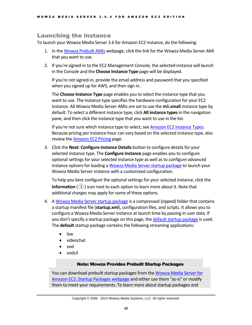# Launching the instance

To launch your Wowza Media Server 3.6 for Amazon EC2 instance, do the following:

- 1. In th[e Wowza Prebuilt AMIs](http://www.wowza.com/forums/content.php?23) webpage, click the link for the Wowza Media Server AMI that you want to use.
- 2. If you're signed-in to the EC2 Management Console, the selected instance will launch in the Console and the **Choose Instance Type** page will be displayed.

If you're not signed-in, provide the email address and password that you specified when you signed up for AWS, and then sign in.

The **Choose Instance Type** page enables you to select the instance type that you want to use. The instance type specifies the hardware configuration for your EC2 instance. All Wowza Media Server AMIs are set to use the **m1.small** instance type by default. To select a different instance type, click **All instance types**in the navigation pane, and then click the instance type that you want to use in the list.

If you're not sure which instance type to select, see Amazon EC2 [Instance Types.](http://aws.amazon.com/ec2/instance-types/) Because pricing per instance-hour can vary based on the selected instance type, also review the [Amazon](http://aws.amazon.com/ec2/pricing/) EC2 Pricing page.

3. Click the **Next: Configure Instance Details** button to configure details for your selected instance type. The **Configure Instance** page enables you to configure optional settings for your selected instance type as well as to configure advanced instance options for loading [a Wowza Media Server startup package](#page-22-0) to launch your Wowza Media Server instance with a customized configuration.

To help you best configure the optional settings for your selected instance, click the **Information** ((i)) icon next to each option to learn more about it. Note that additional charges may apply for some of these options.

- 4. A [Wowza Media Server startup package](#page-22-0) is a compressed (zipped) folder that contains a startup manifest file (**startup.xml**), configuration files, and scripts. It allows you to configure a Wowza Media Server instance at launch time by passing in user data. If you don't specify a startup package on this page, th[e default startup package](#page-23-1) is used. The **default** startup package contains the following streaming applications:
	- live
	- videochat
	- vod
	- vods3

### Note: Wowza Provides Prebuilt Startup Packages

You can download prebuilt startup packages from the Wowza Media Server for Amazon [EC2: Startup Packages webpage](http://wowzamediasystems.s3.amazonaws.com/packagelist.html) and either use them "as-is" or modify them to meet your requirements. To learn more about startup packages and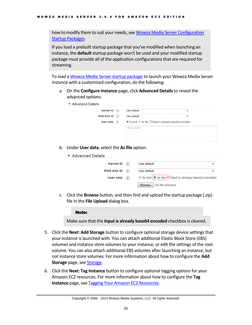how to modify them to suit your needs, se[e Wowza Media Server Configuration](#page-22-0)  Startup [Packages.](#page-22-0)

If you load a prebuilt startup package that you've modified when launching an instance, the **default** startup package won't be used and your modified startup package must provide all of the application configurations that are required for streaming.

To load [a Wowza Media Server startup package](#page-22-0) to launch your Wowza Media Server instance with a customized configuration, do the following:

a. On the **Configure Instance** page, click **Advanced Details**to reveal the advanced options:

| ▼ Advanced Details                     |            |                                                        |   |
|----------------------------------------|------------|--------------------------------------------------------|---|
| <b>Kernel ID</b><br><b>RAM disk ID</b> | (i)<br>(i) | Use default<br>▼<br>Use default<br>▼                   |   |
| User data (i)                          |            | to As text © As file □ Input is already base64 encoded |   |
|                                        |            | (Optional)                                             |   |
|                                        |            |                                                        | A |

b. Under **User data**, select the **As file** option:

| ▼ Advanced Details |                                                         |
|--------------------|---------------------------------------------------------|
| Kernel ID $(i)$    | Use default                                             |
| RAM disk ID $(i)$  | Use default                                             |
| User data $(i)$    | © As text   ● As file   Input is already base64 encoded |
|                    | Browse.   No file selected.                             |

c. Click the **Browse** button, and then find and upload the startup package (.zip) file in the **File Upload** dialog box.

### Note:

Make sure that the **Input is already base64 encoded** checkbox is cleared.

- 5. Click the **Next: Add Storage** button to configure optional storage device settings that your instance islaunched with. You can attach additional Elastic Block Store (EBS) volumes and instance store volumes to your instance, or edit the settings of the root volume. You can also attach additional EBS volumes after launching an instance, but not instance store volumes. For more information about how to configure the **Add Storage** page, see **Storage**.
- 6. Click the **Next: Tag Instance** button to configure optional tagging options for your Amazon EC2 resources. For more information about how to configure the **Tag Instance** page, se[e Tagging Your Amazon EC2 Resources.](http://docs.aws.amazon.com/AWSEC2/latest/UserGuide/Using_Tags.html)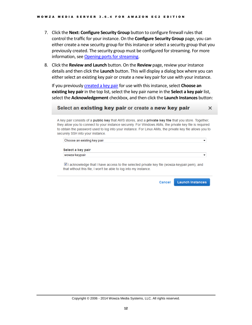- 7. Click the **Next: Configure Security Group** button to configure firewall rules that control the traffic for your instance. On the **Configure Security Group** page, you can either create a new security group for this instance or select a security group that you previously created. The security group must be configured for streaming. For more information, see [Opening ports for streaming.](#page-9-1)
- 8. Click the **Review and Launch** button. On the **Review** page, review your instance details and then click the **Launch** button. This will display a dialog box where you can either select an existing key pair or create a new key pair for use with your instance.

If you previously **created a key pair** for use with this instance, select **Choose an existing key pair** in the top list, select the key pair name in the **Select a key pair** list, select the **Acknowledgement** checkbox, and then click the **Launch Instances** button:

### Select an existing key pair or create a new key pair

A key pair consists of a public key that AWS stores, and a private key file that you store. Together, they allow you to connect to your instance securely. For Windows AMIs, the private key file is required to obtain the password used to log into your instance. For Linux AMIs, the private key file allows you to securely SSH into your instance.

| Choose an existing key pair |                                                                                                         |
|-----------------------------|---------------------------------------------------------------------------------------------------------|
| Select a key pair           |                                                                                                         |
| wowza-keypair               |                                                                                                         |
|                             |                                                                                                         |
|                             | $\blacksquare$ acknowledge that I have access to the selected private key file (wowza-keypair pem), and |

that without this file, I won't be able to log into my instance.

Cancel **Launch Instances** 

 $\times$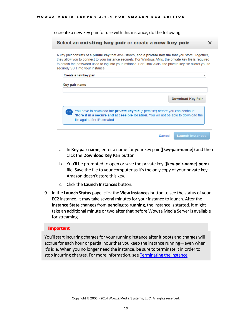To create a new key pair for use with this instance, do the following:

### Select an existing key pair or create a new key pair

A key pair consists of a **public key** that AWS stores, and a **private key file** that you store. Together, they allow you to connect to your instance securely. For Windows AMIs, the private key file is required to obtain the password used to log into your instance. For Linux AMIs, the private key file allows you to securely SSH into your instance.

 $\times$ 

| Key pair name           |                                                                                                                                                                       |  |                          |
|-------------------------|-----------------------------------------------------------------------------------------------------------------------------------------------------------------------|--|--------------------------|
|                         |                                                                                                                                                                       |  | <b>Download Key Pair</b> |
|                         |                                                                                                                                                                       |  |                          |
| $\bullet\bullet\bullet$ | You have to download the private key file (*.pem file) before you can continue.<br>Store it in a secure and accessible location. You will not be able to download the |  |                          |
|                         | file again after it's created.                                                                                                                                        |  |                          |

- a. In **Key pair name**, enter a name for your key pair (**[key-pair-name]**) and then click the **Download Key Pair** button.
- b. You'll be prompted to open or save the private key (**[key-pair-name].pem**) file. Save the file to your computer as it's the only copy of your private key. Amazon doesn't store this key.
- c. Click the **Launch Instances** button.
- 9. In the **Launch Status** page, click the **View Instances** button to see the status of your EC2 instance. It may take several minutes for your instance to launch. After the **Instance State** changes from **pending** to **running**, the instance is started. It might take an additional minute or two after that before Wowza Media Server is available for streaming.

#### Important

You'll start incurring charges for your running instance after it boots and charges will accrue for each hour or partial hour that you keep the instance running—even when it's idle. When you no longer need the instance, be sure to terminate it in order to stop incurring charges. For more information, se[e Terminating the instance.](#page-19-0)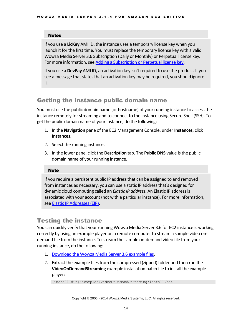### Notes

If you use a **LicKey** AMI ID, the instance uses a temporary license key when you launch it for the first time. You must replace the temporary license key with a valid Wowza Media Server 3.6 Subscription (Daily or Monthly) or Perpetual license key. For more information, see [Adding a Subscription or Perpetual license key.](#page-18-1)

If you use a **DevPay** AMI ID, an activation key isn't required to use the product. If you see a message that states that an activation key may be required, you should ignore it.

# <span id="page-15-0"></span>Getting the instance public domain name

You must use the public domain name (or hostname) of your running instance to access the instance remotely for streaming and to connect to the instance using Secure Shell (SSH). To get the public domain name of your instance, do the following:

- 1. In the **Navigation** pane of the EC2 Management Console, under **Instances**, click **Instances**.
- 2. Select the running instance.
- 3. In the lower pane, click the **Description** tab. The **Public DNS** value is the public domain name of your running instance.

### Note

If you require a persistent public IP address that can be assigned to and removed from instances as necessary, you can use a static IP address that's designed for dynamic cloud computing called an *Elastic IP address*. An Elastic IP address is associated with your account (not with a particular instance). For more information, se[e Elastic IP Addresses \(EIP\).](http://docs.aws.amazon.com/AWSEC2/latest/UserGuide/elastic-ip-addresses-eip.html)

# <span id="page-15-1"></span>Testing the instance

You can quickly verify that your running Wowza Media Server 3.6 for EC2 instance is working correctly by using an example player on a remote computer to stream a sample video ondemand file from the instance. To stream the sample on-demand video file from your running instance, do the following:

- 1. [Download the Wowza Media Server 3.6](http://www.wowza.com/docredirect.php?doc=wowzaServerExamples_latest) example files.
- 2. Extract the example files from the compressed (zipped) folder and then run the **VideoOnDemandStreaming** example installation batch file to install the example player:

[install-dir]/examples/VideoOnDemandStreaming/install.bat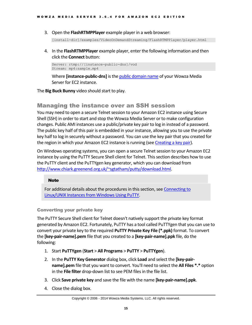3. Open the **FlashRTMPPlayer** example player in a web browser:

[install-dir]/examples/VideoOnDemandStreaming/FlashRTMPPlayer/player.html

4. In the **FlashRTMPPlayer** example player, enter the following information and then click the **Connect** button:

Server: rtmp://[instance-public-dns]/vod Stream: mp4:sample.mp4

Where **[instance-public-dns]** is the [public domain name](#page-15-0) of your Wowza Media Server for EC2 instance.

<span id="page-16-0"></span>The **Big Buck Bunny** video should start to play.

# Managing the instance over an SSH session

You may need to open a secure Telnet session to your Amazon EC2 instance using Secure Shell (SSH) in order to start and stop the Wowza Media Server or to make configuration changes. Public AMI instances use a public/private key pair to log in instead of a password. The public key half of this pair is embedded in your instance, allowing you to use the private key half to log in securely without a password. You can use the key pair that you created for the region in which your Amazon EC2 instance is running (see [Creating a key pair\)](#page-9-0).

On Windows operating systems, you can open a secure Telnet session to your Amazon EC2 instance by using the PuTTY Secure Shell client for Telnet. This section describes how to use the PuTTY client and the PuTTYgen key generator, which you can download from [http://www.chiark.greenend.org.uk/~sgtatham/putty/download.html.](http://www.chiark.greenend.org.uk/~sgtatham/putty/download.html)

### **Note**

For additional details about the procedures in this section, see [Connecting to](http://docs.amazonwebservices.com/AWSEC2/latest/UserGuide/putty.html)  [Linux/UNIX Instances from Windows Using PuTTY.](http://docs.amazonwebservices.com/AWSEC2/latest/UserGuide/putty.html)

### Converting your private key

The PuTTY Secure Shell client for Telnet doesn't natively support the private key format generated by Amazon EC2. Fortunately, PuTTY has a tool called PuTTYgen that you can use to convert your private key to the required **PuTTY Private Key File (\*.ppk)** format. To convert the **[key-pair-name].pem** file that you created to a **[key-pair-name].ppk** file, do the following:

- 1. Start **PuTTYgen** (**Start** > **All Programs** > **PuTTY** > **PuTTYgen**).
- 2. In the **PuTTY Key Generator** dialog box, click **Load** and select the **[key-pairname].pem** file that you want to convert. You'll need to select the **All Files \*.\*** option in the **File filter** drop-down list to see PEM files in the file list.
- 3. Click **Save private key** and save the file with the name **[key-pair-name].ppk**.
- 4. Close the dialog box.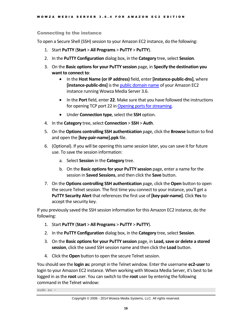### Connecting to the instance

To open a Secure Shell (SSH) session to your Amazon EC2 instance, do the following:

- 1. Start **PuTTY** (**Start** > **All Programs** > **PuTTY** > **PuTTY**).
- 2. In the **PuTTY Configuration** dialog box, in the **Category** tree, select **Session**.
- 3. On the **Basic options for your PuTTY session** page, in **Specify the destination you want to connect to**:
	- In the **Host Name (or IP address)** field, enter **[instance-public-dns]**, where **[instance-public-dns]** is th[e public domain name](#page-15-0) of your Amazon EC2 instance running Wowza Media Server 3.6.
	- In the **Port** field, enter **22**. Make sure that you have followed the instructions for opening TCP port 22 in [Opening ports for streaming.](#page-9-1)
	- Under **Connection type**, select the **SSH** option.
- 4. In the **Category** tree, select **Connection** > **SSH** > **Auth**.
- 5. On the **Options controlling SSH authentication** page, click the **Browse** button to find and open the **[key-pair-name].ppk** file.
- 6. (Optional). If you will be opening this same session later, you can save it for future use. To save the session information:
	- a. Select **Session** in the **Category** tree.
	- b. On the **Basic options for your PuTTY session** page, enter a name for the session in **Saved Sessions**, and then click the **Save** button.
- 7. On the **Options controlling SSH authentication** page, click the **Open** button to open the secure Telnet session. The first time you connect to your instance, you'll get a **PuTTY Security Alert** that references the first use of **[key-pair-name]**. Click **Yes**to accept the security key.

If you previously saved the SSH session information for this Amazon EC2 instance, do the following:

- 1. Start **PuTTY** (**Start** > **All Programs** > **PuTTY** > **PuTTY**).
- 2. In the **PuTTY Configuration** dialog box, in the **Category** tree, select **Session**.
- 3. On the **Basic options for your PuTTY session** page, in **Load, save or delete a stored session**, click the saved SSH session name and then click the **Load** button.
- 4. Click the **Open** button to open the secure Telnet session.

You should see the **login as:** prompt in the Telnet window. Enter the username **ec2-user** to login to your Amazon EC2 instance. When working with Wowza Media Server, it's best to be logged in as the **root** user. You can switch to the **root** user by entering the following command in the Telnet window:

sudo su –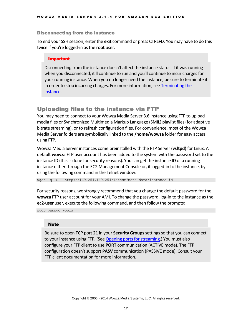### Disconnecting from the instance

To end your SSH session, enter the **exit** command or press CTRL+D. You may have to do this twice if you're logged-in as the **root** user.

### Important

Disconnecting from the instance doesn't affect the instance status. If it was running when you disconnected, it'll continue to run and you'll continue to incur charges for your running instance. When you no longer need the instance, be sure to terminate it in order to stop incurring charges. For more information, se[e Terminating the](#page-19-0)  [instance.](#page-19-0)

# <span id="page-18-0"></span>Uploading files to the instance via FTP

You may need to connect to your Wowza Media Server 3.6 instance using FTP to upload media files or Synchronized Multimedia Markup Language (SMIL) playlist files (for adaptive bitrate streaming), or to refresh configuration files. For convenience, most of the Wowza Media Server folders are symbolically linked to the **/home/wowza** folder for easy access using FTP.

Wowza Media Server instances come preinstalled with the FTP Server (**vsftpd**) for Linux. A default **wowza** FTP user account has been added to the system with the password set to the instance ID (this is done for security reasons). You can get the instance ID of a running instance either through the EC2 Management Console or, if logged-in to the instance, by using the following command in the Telnet window:

wget -q -O - http://169.254.169.254/latest/meta-data/instance-id

For security reasons, we strongly recommend that you change the default password for the **wowza** FTP user account for your AMI. To change the password, log-in to the instance as the **ec2-user** user, execute the following command, and then follow the prompts:

sudo passwd wowza

### **Note**

<span id="page-18-1"></span>Be sure to open TCP port 21 in your **Security Groups**settings so that you can connect to your instance using FTP. (See [Opening ports for streaming.](#page-9-1)) You must also configure your FTP client to use **PORT** communication (ACTIVE mode). The FTP configuration doesn't support **PASV** communication (PASSIVE mode). Consult your FTP client documentation for more information.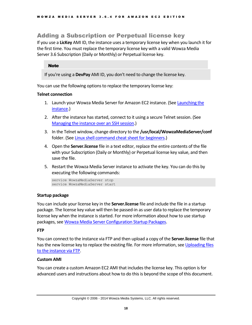# Adding a Subscription or Perpetual license key

If you use a **LicKey** AMI ID, the instance uses a temporary license key when you launch it for the first time. You must replace the temporary license key with a valid Wowza Media Server 3.6 Subscription (Daily or Monthly) or Perpetual license key.

### **Note**

If you're using a **DevPay** AMI ID, you don't need to change the license key.

You can use the following options to replace the temporary license key:

### **Telnet connection**

- 1. Launch your Wowza Media Server for Amazon EC2 instance. (Se[e Launching the](#page-10-0)  [instance.](#page-10-0))
- 2. After the instance has started, connect to it using a secure Telnet session. (See [Managing the instance over an SSH session.](#page-16-0))
- 3. In the Telnet window, change directory to the **/usr/local/WowzaMediaServer/conf** folder. (Se[e Linux shell command cheat sheet for beginners.](#page-20-1))
- 4. Open the **Server.license** file in a text editor, replace the entire contents of the file with your Subscription (Daily or Monthly) or Perpetual license key value, and then save the file.
- 5. Restart the Wowza Media Server instance to activate the key. You can do this by executing the following commands:

```
service WowzaMediaServer stop
service WowzaMediaServer start
```
### **Startup package**

You can include your license key in the **Server.license** file and include the file in a startup package. The license key value will then be passed-in as user data to replace the temporary license key when the instance is started. For more information about how to use startup packages, se[e Wowza Media Server Configuration Startup Packages.](#page-22-0)

### **FTP**

You can connect to the instance via FTP and then upload a copy of the **Server.license** file that has the new license key to replace the existing file. For more information, se[e Uploading files](#page-18-0)  [to the instance via FTP.](#page-18-0)

### **Custom AMI**

<span id="page-19-0"></span>You can create a custom Amazon EC2 AMI that includes the license key. This option is for advanced users and instructions about how to do this is beyond the scope of this document.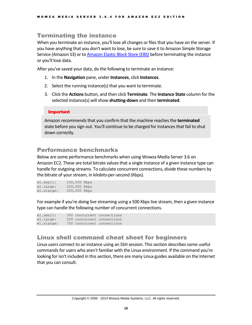# Terminating the instance

When you terminate an instance, you'll lose all changes or files that you have on the server. If you have anything that you don't want to lose, be sure to save it to Amazon Simple Storage Service (Amazon S3) or t[o Amazon Elastic Block Store](http://www.wowza.com/forums/content.php?74) (EBS) before terminating the instance or you'll lose data.

After you've saved your data, do the following to terminate an instance:

- 1. In the **Navigation** pane, under **Instances**, click **Instances**.
- 2. Select the running instance(s) that you want to terminate.
- 3. Click the **Actions** button, and then click **Terminate**. The **Instance State** column for the selected instance(s) will show **shutting-down** and then **terminated**.

### Important

Amazon recommends that you confirm that the machine reaches the **terminated** state before you sign out. You'll continue to be charged for instances that fail to shut down correctly.

# <span id="page-20-0"></span>Performance benchmarks

Below are some performance benchmarks when using Wowza Media Server 3.6 on Amazon EC2. These are total bitrate values that a single instance of a given instance type can handle for outgoing streams. To calculate concurrent connections, divide these numbers by the bitrate of your stream, in kilobits-per-second (Kbps).

| ml.smal:   | 150,000 Kbps |  |
|------------|--------------|--|
| ml.large:  | 250,000 Kbps |  |
| ml.xlarge: | 350,000 Kbps |  |

For example if you're doing live streaming using a 500 Kbps live stream, then a given instance type can handle the following number of concurrent connections.

| ml.smal:   |  | 300 concurrent connections |
|------------|--|----------------------------|
| m1.large:  |  | 500 concurrent connections |
| ml.xlarge: |  | 700 concurrent connections |

# <span id="page-20-1"></span>Linux shell command cheat sheet for beginners

Linux users connect to an instance using an SSH session. This section describes some useful commands for users who aren't familiar with the Linux environment. If the command you're looking for isn't included in this section, there are many Linux guides available on the Internet that you can consult.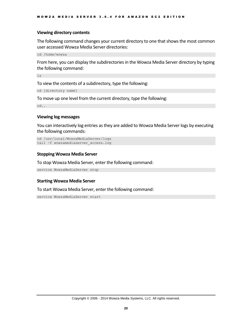### **Viewing directory contents**

The following command changes your current directory to one that shows the most common user accessed Wowza Media Server directories:

cd /home/wowza

From here, you can display the subdirectories in the Wowza Media Server directory by typing the following command:

ls

To view the contents of a subdirectory, type the following:

cd [directory name]

To move up one level from the current directory, type the following:

cd..

### **Viewing log messages**

You can interactively log entries as they are added to Wowza Media Server logs by executing the following commands:

```
cd /usr/local/WowzaMediaServer/logs
tail -f wowzamediaserver access.log
```
### **Stopping Wowza Media Server**

To stop Wowza Media Server, enter the following command:

service WowzaMediaServer stop

#### **Starting Wowza Media Server**

To start Wowza Media Server, enter the following command:

service WowzaMediaServer start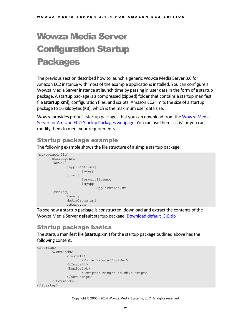# <span id="page-22-0"></span>Wowza Media Server Configuration Startup Packages

The previous section described how to launch a generic Wowza Media Server 3.6 for Amazon EC2 instance with most of the example applications installed. You can configure a Wowza Media Server instance at launch time by passing in user data in the form of a startup package. A startup package is a compressed (zipped) folder that contains a startup manifest file (**startup.xml**), configuration files, and scripts. Amazon EC2 limits the size of a startup package to 16 kilobytes (KB), which is the maximum user data size.

Wowza provides prebuilt startup packages that you can download from the Wowza Media Server for Amazon [EC2: Startup Packages webpage.](http://wowzamediasystems.s3.amazonaws.com/packagelist.html) You can use them "as-is" or you can modify them to meet your requirements.

# <span id="page-22-1"></span>Startup package example

The following example shows the file structure of a simple startup package:

```
[mywowzaconfig]
      startup.xml
       [wowza]
              [applications]
                    [myapp]
              [conf]
                     Server.license
                     [myapp]
                          Application.xml
       [tuning]
             tune.sh
             MediaCache.xml
             setenv.sh
```
To see how a startup package is constructed, download and extract the contents of the Wowza Media Server **default**startup package: [Download default\\_3.6.zip](http://www.wowza.com/docredirect.php?doc=wowzaAmazonAWSStartup_Latest)

# <span id="page-22-2"></span>Startup package basics

The startup manifest file (**startup.xml**) for the startup package outlined above has the following content:

```
<Startup>
      <Commands>
             <Install>
                    <Folder>wowza</Folder>
             </Install>
              <RunScript>
                    <Script>tuning/tune.sh</Script>
             </RunScript>
      </Commands>
</Startup>
```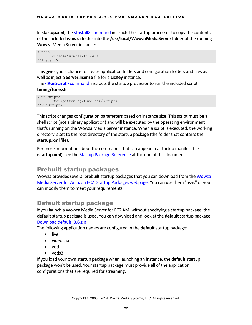In **startup.xml**, the **<Install>** [command](#page-32-1) instructs the startup processor to copy the contents of the included **wowza** folder into the **/usr/local/WowzaMediaServer** folder of the running Wowza Media Server instance:

```
<Install>
      <Folder>wowza</Folder>
</Install>
```
This gives you a chance to create application folders and configuration folders and files as well as inject a **Server.license** file for a **LicKey** instance.

The **[<RunScript>](#page-35-0)** command instructs the startup processor to run the included script **tuning/tune.sh**:

```
<RunScript>
      <Script>tuning/tune.sh</Script>
</RunScript>
```
This script changes configuration parameters based on instance size. This script must be a shell script (not a binary application) and will be executed by the operating environment that's running on the Wowza Media Server instance. When a script is executed, the working directory is set to the root directory of the startup package (the folder that contains the **startup.xml** file).

For more information about the commands that can appear in a startup manifest file (**startup.xml**), see th[e Startup Package Reference](#page-32-0) at the end of this document.

### <span id="page-23-0"></span>Prebuilt startup packages

Wowza provides several prebuilt startup packages that you can download from the [Wowza](http://wowzamediasystems.s3.amazonaws.com/packagelist.html)  Media Server for Amazon [EC2: Startup Packages webpage.](http://wowzamediasystems.s3.amazonaws.com/packagelist.html) You can use them "as-is" or you can modify them to meet your requirements.

# <span id="page-23-1"></span>Default startup package

If you launch a Wowza Media Server for EC2 AMI without specifying a startup package, the **default**startup package is used. You can download and look at the **default**startup package: [Download default\\_3.6.zip](http://www.wowza.com/docredirect.php?doc=wowzaAmazonAWSStartup_Latest)

The following application names are configured in the **default**startup package:

- live
- videochat
- vod
- vods3

If you load your own startup package when launching an instance, the **default**startup package won't be used. Your startup package must provide all of the application configurations that are required for streaming.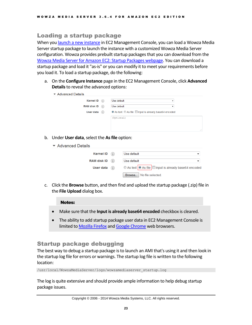# <span id="page-24-0"></span>Loading a startup package

When yo[u launch a new instance](#page-10-0) in EC2 Management Console, you can load a Wowza Media Server startup package to launch the instance with a customized Wowza Media Server configuration. Wowza provides prebuilt startup packages that you can download from the [Wowza Media Server for Amazon](http://wowzamediasystems.s3.amazonaws.com/packagelist.html) EC2: Startup Packages webpage. You can download a startup package and load it "as-is" or you can modify it to meet your requirements before you load it. To load a startup package, do the following:

a. On the **Configure Instance** page in the EC2 Management Console, click **Advanced Details**to reveal the advanced options:

| ▼ Advanced Details |                                                        |     |
|--------------------|--------------------------------------------------------|-----|
| Kernel ID (i)      | Use default<br>▼                                       |     |
| RAM disk ID $(i)$  | Use default                                            |     |
| User data (i)      | to As text ⊙ As file □ Input is already base64 encoded |     |
|                    | (Optional)                                             |     |
|                    |                                                        |     |
|                    |                                                        |     |
|                    |                                                        | al. |

- b. Under **User data**, select the **As file** option:
	- ▼ Advanced Details

| Kernel ID $(i)$ | Use default                                         |
|-----------------|-----------------------------------------------------|
| RAM disk ID (i) | Use default                                         |
| User data $(i)$ | © As text © As file Input is already base64 encoded |
|                 | Browse.   No file selected.                         |

c. Click the **Browse** button, and then find and upload the startup package (.zip) file in the **File Upload** dialog box.

### Notes:

- Make sure that the **Input is already base64 encoded** checkbox is cleared.
- The ability to add startup package user data in EC2 Management Console is limited t[o Mozilla Firefox](http://www.mozilla.org/firefox) an[d Google Chrome](http://www.google.com/chrome) web browsers.

# <span id="page-24-1"></span>Startup package debugging

The best way to debug a startup package is to launch an AMI that's using it and then look in the startup log file for errors or warnings. The startup log file is written to the following location:

/usr/local/WowzaMediaServer/logs/wowzamediaserver\_startup.log

The log is quite extensive and should provide ample information to help debug startup package issues.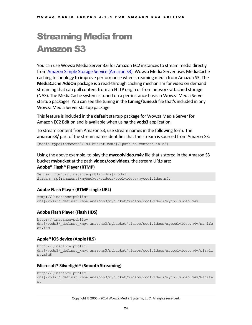# <span id="page-25-0"></span>Streaming Media from Amazon S3

You can use Wowza Media Server 3.6 for Amazon EC2 instances to stream media directly fro[m Amazon Simple Storage Service \(Amazon](http://aws.amazon.com/s3/) S3). Wowza Media Server uses MediaCache caching technology to improve performance when streaming media from Amazon S3. The **MediaCache AddOn** package is a read-through caching mechanism for video on demand streaming that can pull content from an HTTP origin or from network-attached storage (NAS). The MediaCache system is tuned on a per-instance basis in Wowza Media Server startup packages. You can see the tuning in the **tuning/tune.sh** file that's included in any Wowza Media Server startup package.

This feature is included in the **default**startup package for Wowza Media Server for Amazon EC2 Edition and is available when using the **vods3** application.

To stream content from Amazon S3, use stream names in the following form. The **amazons3/** part of the stream name identifies that the stream is sourced from Amazon S3:

[media-type]:amazons3/[s3-bucket-name]/[path-to-content-in-s3]

Using the above example, to play the **mycoolvideo.m4v** file that's stored in the Amazon S3 bucket **mybucket** at the path **videos/coolvideos**, the stream URLs are: **Adobe® Flash® Player (RTMP)**

Server: rtmp://[instance-public-dns]/vods3 Stream: mp4:amazons3/mybucket/videos/coolvideos/mycoolvideo.m4v

### **Adobe Flash Player (RTMP single URL)**

```
rtmp://[instance-public-
dns]/vods3/_definst_/mp4:amazons3/mybucket/videos/coolvideos/mycoolvideo.m4v
```
### **Adobe Flash Player (Flash HDS)**

```
http://[instance-public-
dns]/vods3/ definst /mp4:amazons3/mybucket/videos/coolvideos/mycoolvideo.m4v/manife
st.f4m
```
### **Apple® iOS device (Apple HLS)**

```
http://[instance-public-
dns]/vods3/_definst_/mp4:amazons3/mybucket/videos/coolvideos/mycoolvideo.m4v/playli
st.m3u8
```
### **Microsoft® Silverlight® (Smooth Streaming)**

```
http://[instance-public-
```

```
dns]/vods3/ definst /mp4:amazons3/mybucket/videos/coolvideos/mycoolvideo.m4v/Manife
st
```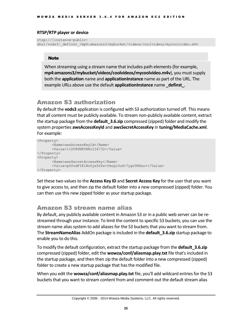### **RTSP/RTP player or device**

```
rtsp://[instance-public-
dns]/vods3/_definst_/mp4:amazons3/mybucket/videos/coolvideos/mycoolvideo.m4v
```
### **Note**

When streaming using a stream name that includes path elements (for example, **mp4:amazons3/mybucket/videos/coolvideos/mycoolvideo.m4v**), you must supply both the **application** name and **applicationInstance** name as part of the URL. The example URLs above use the default **applicationInstance** name definst.

# <span id="page-26-0"></span>Amazon S3 authorization

By default the **vods3** application is configured with S3 authorization turned off. This means that all content must be publicly available. To stream non-publicly available content, extract the startup package from the **default\_3.6.zip** compressed (zipped) folder and modify the system properties **awsAccessKeyId** and **awsSecretAccessKey** in **tuning/MediaCache.xml**. For example:

```
<Property>
       <Name>awsAccessKeyId</Name>
       <Value>11DV8PNKTHN1234732</Value>
</Property>
<Property>
       <Name>awsSecretAccessKey</Name>
       <Value>p0fsdFIE1Nofyx5Sfe+CmuQi0uXt7ygrD8Xxz+</Value>
</Property>
```
Set these two values to the **Access Key ID** and **Secret Access Key** for the user that you want to give access to, and then zip the default folder into a new compressed (zipped) folder. You can then use this new zipped folder as your startup package.

# <span id="page-26-1"></span>Amazon S3 stream name alias

By default, any publicly available content in Amazon S3 or in a public web server can be restreamed through your instance. To limit the content to specific S3 buckets, you can use the stream name alias system to add aliases for the S3 buckets that you want to stream from. The **StreamNameAlias** AddOn package is included in the **default\_3.6.zip** startup package to enable you to do this.

To modify the default configuration, extract the startup package from the **default\_3.6.zip** compressed (zipped) folder, edit the **wowza/conf/aliasmap.play.txt** file that's included in the startup package, and then then zip the default folder into a new compressed (zipped) folder to create a new startup package that has the modified file.

When you edit the **wowza/conf/aliasmap.play.txt** file, you'll add wildcard entries for the S3 buckets that you want to stream content from and comment-out the default stream alias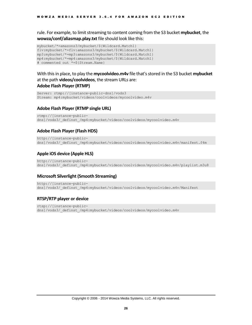rule. For example, to limit streaming to content coming from the S3 bucket **mybucket**, the **wowza/conf/aliasmap.play.txt** file should look like this:

```
mybucket/*=amazons3/mybucket/${Wildcard.Match1}
flv:mybucket/*=flv:amazons3/mybucket/${Wildcard.Match1}
mp3:mybucket/*=mp3:amazons3/mybucket/${Wildcard.Match1}
mp4:mybucket/*=mp4:amazons3/mybucket/${Wildcard.Match1}
# commented out *=${Stream.Name}
```
With this in place, to play the **mycoolvideo.m4v** file that's stored in the S3 bucket **mybucket** at the path **videos/coolvideos**, the stream URLs are: **Adobe Flash Player (RTMP)**

```
Server: rtmp://[instance-public-dns]/vods3
Stream: mp4:mybucket/videos/coolvideos/mycoolvideo.m4v
```
### **Adobe Flash Player (RTMP single URL)**

rtmp://[instance-publicdns]/vods3/ definst /mp4:mybucket/videos/coolvideos/mycoolvideo.m4v

### **Adobe Flash Player (Flash HDS)**

http://[instance-publicdns]/vods3/ definst /mp4:mybucket/videos/coolvideos/mycoolvideo.m4v/manifest.f4m

### **Apple iOS device (Apple HLS)**

http://[instance-publicdns]/vods3/\_definst\_/mp4:mybucket/videos/coolvideos/mycoolvideo.m4v/playlist.m3u8

### **Microsoft Silverlight (Smooth Streaming)**

http://[instance-publicdns]/vods3/\_definst\_/mp4:mybucket/videos/coolvideos/mycoolvideo.m4v/Manifest

### **RTSP/RTP player or device**

rtsp://[instance-publicdns]/vods3/ definst /mp4:mybucket/videos/coolvideos/mycoolvideo.m4v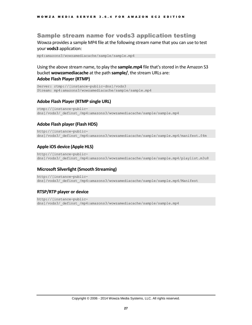### <span id="page-28-0"></span>Sample stream name for vods3 application testing

Wowza provides a sample MP4 file at the following stream name that you can use to test your **vods3** application:

mp4:amazons3/wowzamediacache/sample/sample.mp4

Using the above stream name, to play the **sample.mp4** file that's stored in the Amazon S3 bucket **wowzamediacache** at the path **sample/**, the stream URLs are: **Adobe Flash Player (RTMP)**

Server: rtmp://[instance-public-dns]/vods3 Stream: mp4:amazons3/wowzamediacache/sample/sample.mp4

### **Adobe Flash Player (RTMP single URL)**

```
rtmp://[instance-public-
dns]/vods3/_definst_/mp4:amazons3/wowzamediacache/sample/sample.mp4
```
### **Adobe Flash player (Flash HDS)**

```
http://[instance-public-
dns]/vods3/ definst /mp4:amazons3/wowzamediacache/sample/sample.mp4/manifest.f4m
```
### **Apple iOS device (Apple HLS)**

http://[instance-publicdns]/vods3/ definst /mp4:amazons3/wowzamediacache/sample/sample.mp4/playlist.m3u8

### **Microsoft Silverlight (Smooth Streaming)**

```
http://[instance-public-
dns]/vods3/_definst_/mp4:amazons3/wowzamediacache/sample/sample.mp4/Manifest
```
### **RTSP/RTP player or device**

```
http://[instance-public-
dns]/vods3/_definst_/mp4:amazons3/wowzamediacache/sample/sample.mp4
```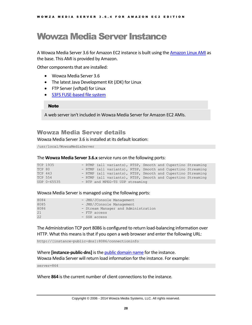# <span id="page-29-0"></span>Wowza Media Server Instance

A Wowza Media Server 3.6 for Amazon EC2 instance is built using th[e Amazon Linux AMI](http://aws.amazon.com/amazon-linux-ami/) as the base. This AMI is provided by Amazon.

Other components that are installed:

- Wowza Media Server 3.6
- The latest Java Development Kit (JDK) for Linux
- FTP Server (vsftpd) for Linux
- S3FS [FUSE-based file system](http://code.google.com/p/s3fs/wiki/FuseOverAmazon)

### Note

A web server isn't included in Wowza Media Server for Amazon EC2 AMIs.

# <span id="page-29-1"></span>Wowza Media Server details

Wowza Media Server 3.6 is installed at its default location:

/usr/local/WowzaMediaServer

### The **Wowza Media Server 3.6.x** service runs on the following ports:

|         | TCP 1935    |  | - RTMP (all variants), RTSP, Smooth and Cupertino Streaming |  |  |  |
|---------|-------------|--|-------------------------------------------------------------|--|--|--|
| TCP 80  |             |  | - RTMP (all variants), RTSP, Smooth and Cupertino Streaming |  |  |  |
| TCP 443 |             |  | - RTMP (all variants), RTSP, Smooth and Cupertino Streaming |  |  |  |
| TCP 554 |             |  | - RTMP (all variants), RTSP, Smooth and Cupertino Streaming |  |  |  |
|         | UDP 0-65535 |  | - RTP and MPEG-TS UDP streaming                             |  |  |  |

### Wowza Media Server is managed using the following ports:

| 8084 | - JMX/JConsole Management           |
|------|-------------------------------------|
| 8085 | - JMX/JConsole Management           |
| 8086 | - Stream Manager and Administration |
| 21   | $-$ FTP access                      |
| 22   | - SSH access                        |

The Administration TCP port 8086 is configured to return load-balancing information over HTTP. What this means is that if you open a web browser and enter the following URL:

http://[instance-public-dns]:8086/connectioninfo

### Where **[instance-public-dns]** is the [public domain name](#page-15-0) for the instance. Wowza Media Server will return load information for the instance. For example:

server=864

Where **864** is the current number of client connections to the instance.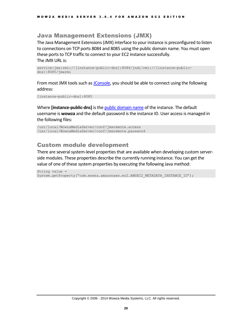# <span id="page-30-0"></span>Java Management Extensions (JMX)

The Java Management Extensions (JMX) interface to your instance is preconfigured to listen to connections on TCP ports 8084 and 8085 using the public domain name. You must open these ports to TCP traffic to connect to your EC2 instance successfully. The JMX URL is:

```
service:jmx:rmi://[instance-public-dns]:8084/jndi/rmi://[instance-public-
dns]:8085/jmxrmi
```
From most JMX tools such as [JConsole,](http://www.wowza.com/docredirect.php?doc=adminJConsole) you should be able to connect using the following address:

[instance-public-dns]:8085

Where **[instance-public-dns]** is the [public domain name](#page-15-0) of the instance. The default username is **wowza** and the default password is the instance ID. User access is managed in the following files:

```
/usr/local/WowzaMediaServer/conf/jmxremote.access
/usr/local/WowzaMediaServer/conf/jmxremote.password
```
# <span id="page-30-1"></span>Custom module development

There are several system-level properties that are available when developing custom serverside modules. These properties describe the currently running instance. You can get the value of one of these system properties by executing the following Java method:

```
String value = 
System.getProperty("com.wowza.amazonaws.ec2.AWSEC2_METADATA_INSTANCE_ID");
```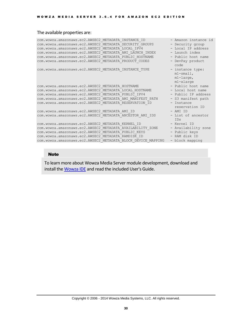### The available properties are:

```
com.wowza.amazonaws.ec2.AWSEC2_METADATA_INSTANCE_ID - Amazon instance id
com.wowza.amazonaws.ec2.AWSEC2_METADATA_SECURITY_GROUPS - Security group
com.wowza.amazonaws.ec2.AWSEC2_METADATA_LOCAL_IPV4 - Local IP address
com.wowza.amazonaws.ecz.AWSEC2_METADATA_AMI_LAUNCH_INDEX - Launch index com.wowza.amazonaws.ec2.AWSEC2_METADATA_AMI_LAUNCH_INDEX - Launch index
com.wowza.amazonaws.ec2.AWSEC2_METADATA_PUBLIC_HOSTNAME - Public host name
com.wowza.amazonaws.ec2.AWSEC2_METADATA_PRODUCT_CODES - DevPay product
                                                                 code
com.wowza.amazonaws.ec2.AWSEC2_METADATA_INSTANCE_TYPE - instance type:
                                                                m1-small,
                                                                 m1-large,
                                                                m1-xlarge
com.wowza.amazonaws.ec2.AWSEC2_METADATA_HOSTNAME - Public host name
com.wowza.amazonaws.ec2.AWSEC2_METADATA_LOCAL_HOSTNAME - Local host name
com.wowza.amazonaws.ec2.AWSEC2_METADATA_PUBLIC_IPV4 - Public IP address
com.wowza.amazonaws.ec2.AWSEC2_METADATA_AMI_MANIFEST_PATH - S3 manifest path
com.wowza.amazonaws.ec2.AWSEC2_METADATA_RESERVATION_ID - Instance 
                                                                reservation ID
com.wowza.amazonaws.ec2.AWSEC2_METADATA_AMI_ID - AMI_ID - AMI_ID
com.wowza.amazonaws.ec2.AWSEC2_METADATA_ANCESTOR_AMI_IDS - List of ancestor
                                                                IDs
com.wowza.amazonaws.ec2.AWSEC2_METADATA_KERNEL_ID - Kernel ID
com.wowza.amazonaws.ec2.AWSEC2_METADATA_AVAILABILITY_ZONE - Availability zone
com.wowza.amazonaws.ec2.AWSEC2 METADATA PUBLIC KEYS - Public keys
com.wowza.amazonaws.ec2.AWSEC2_METADATA_PUBLIC_KEYS - - Public keys<br>com.wowza.amazonaws.ec2.AWSEC2_METADATA_RAMDISK_ID - RAM disk ID
com.wowza.amazonaws.ec2.AWSEC2_METADATA_BLOCK_DEVICE_MAPPING - block mapping
```
#### Note

To learn more about Wowza Media Server module development, download and install the [Wowza IDE](http://www.wowza.com/media-server/developers#wowza-ide) and read the included User's Guide.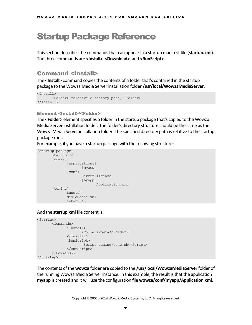# <span id="page-32-0"></span>Startup Package Reference

This section describes the commands that can appear in a startup manifest file (**startup.xml**). The three commands are **<Install>**, **<Download>**, and **<RunScript>**.

# <span id="page-32-1"></span>Command <Install>

The **<Install>** command copiesthe contents of a folder that's contained in the startup package to the Wowza Media Server installation folder **/usr/local/WowzaMediaServer**.

```
<Install>
       <Folder>[relative-directory-path]</Folder>
</Install>
```
### Element <Install>/<Folder>

The **<Folder>** element specifies a folder in the startup package that's copied to the Wowza Media Server installation folder. The folder's directory structure should be the same as the Wowza Media Server installation folder. The specified directory path is relative to the startup package root.

For example, if you have a startup package with the following structure:

```
[startup-package]
      startup.xml
      [wowza]
              [applications]
                    [myapp]
              [conf]
                    Server.license
                    [myapp]
                           Application.xml
       [tuning]
              tune.sh
             MediaCache.xml
             setenv.sh
```
### And the **startup.xml** file content is:

```
<Startup>
      <Commands>
             <Install>
                    <Folder>wowza</Folder>
              </Install>
              <RunScript>
                    <Script>tuning/tune.sh</Script>
              </RunScript>
      </Commands>
</Startup>
```
The contents of the **wowza** folder are copied to the **/usr/local/WowzaMediaServer** folder of the running Wowza Media Server instance. In this example, the result is that the application **myapp** is created and it will use the configuration file **wowza/conf/myapp/Application.xml**.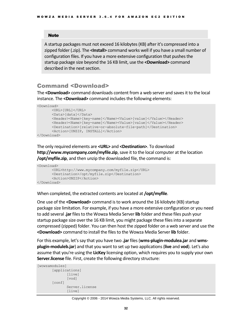#### **Note**

A startup packages must not exceed 16 kilobytes (KB) after it's compressed into a zipped folder (.zip). The **<Install>** command works well if you have a small number of configuration files. If you have a more extensive configuration that pushes the startup package size beyond the 16 KB limit, use the **<Download>** command described in the next section.

### <span id="page-33-0"></span>Command <Download>

The **<Download>** command downloads content from a web server and savesit to the local instance. The **<Download>** command includes the following elements:

```
<Download>
       <URL>[URL]</URL>
       <Data>[data]</Data>
      <Header><Name>[key-name]</Name><Value>[value]</Value></Header>
      <Header><Name>[key-name]</Name><Value>[value]</Value></Header>
      <Destination>[relative-or-absolute-file-path]</Destination>
      <Action>[UNZIP, INSTALL]</Action>
</Download>
```
The only required elements are **<URL>** and **<Destination>**. To download **http://www.mycompany.com/myfile.zip**, save it to the local computer at the location **/opt/myfile.zip**, and then unzip the downloaded file, the command is:

```
<Download>
       <URL>http://www.mycompany.com/myfile.zip</URL>
      <Destination>/opt/myfile.zip</Destination>
      <Action>UNZIP</Action>
</Download>
```
When completed, the extracted contents are located at **/opt/myfile**.

One use of the **<Download>** command is to work around the 16 kilobyte (KB)startup package size limitation. For example, if you have a more extensive configuration or you need to add several **.jar** files to the Wowza Media Server **lib** folder and these files push your startup package size over the 16 KB limit, you might package these files into a separate compressed (zipped) folder. You can then host the zipped folder on a web server and use the **<Download>** command to install the files to the Wowza Media Server **lib** folder.

For this example, let's say that you have two **.jar** files(**wms-plugin-modulea.jar** and **wmsplugin-moduleb.jar**) and that you want to set up two applications (**live** and **vod**). Let's also assume that you're using the **LicKey** licensing option, which requires you to supply your own **Server.license** file. First, create the following directory structure:

```
[wowzamodules]
       [applications]
              [live]
              [vod]
       [conf]
              Server.license
              [live]
```
#### Copyright © 2006 - 2014 Wowza Media Systems, LLC. All rights reserved.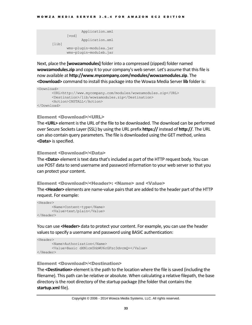```
Application.xml
       [vod]
             Application.xml
[lib]
      wms-plugin-modulea.jar
      wms-plugin-moduleb.jar
```
Next, place the **[wowzamodules]** folder into a compressed (zipped) folder named **wowzamodules.zip** and copy it to your company's web server. Let's assume that this file is now available at **http://www.mycompany.com/modules/wowzamodules.zip**. The **<Download>** command to install this package into the Wowza Media Server **lib** folder is:

```
<Download>
       <URL>http://www.mycompany.com/modules/wowzamodules.zip</URL>
       <Destination>/lib/wowzamodules.zip</Destination>
      <Action>INSTALL</Action>
</Download>
```
### Element <Download>/<URL>

The **<URL>** element is the URL of the file to be downloaded. The download can be performed over Secure Sockets Layer (SSL) by using the URL prefix **https://** instead of **http://**. The URL can also contain query parameters. The file is downloaded using the GET method, unless **<Data>** is specified.

### Element <Download>/<Data>

The **<Data>** element is text data that'sincluded as part of the HTTP request body. You can use POST data to send username and password information to your web server so that you can protect your content.

#### Element <Download>/<Header>: <Name> and <Value>

The **<Header>** elements are name-value pairs that are added to the header part of the HTTP request. For example:

```
<Header>
      <Name>Content-type</Name>
      <Value>text/plain</Value>
</Header>
```
You can use **<Header>** data to protect your content. For example, you can use the header values to specify a username and password using BASIC authentication:

```
<Header>
       <Name>Authorization</Name>
      <Value>Basic dXNlcm5hbWU6cGFzc3dvcmQ=</Value>
</Header>
```
### Element <Download>/<Destination>

The **<Destination>** element is the path to the location where the file issaved (including the filename). This path can be relative or absolute. When calculating a relative filepath, the base directory is the root directory of the startup package (the folder that contains the **startup.xml** file).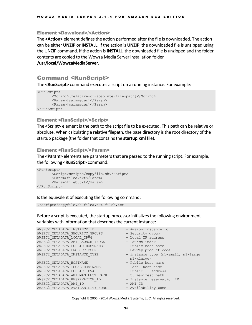### Element <Download>/<Action>

The **<Action>** element defines the action performed after the file is downloaded. The action can be either **UNZIP** or **INSTALL**. If the action is **UNZIP**, the downloaded file is unzipped using the UNZIP command. If the action is **INSTALL**, the downloaded file is unzipped and the folder contents are copied to the Wowza Media Server installation folder

<span id="page-35-0"></span>**/usr/local/WowzaMediaServer**.

### Command <RunScript>

The **<RunScript>** command executes a script on a running instance. For example:

```
<RunScript>
      <Script>[relative-or-absolute-file-path]</Script>
      <Param>[parameter]</Param>
      <Param>[parameter]</Param>
</RunScript>
```
### Element <RunScript>/<Script>

The **<Script>** element is the path to the script file to be executed. This path can be relative or absolute. When calculating a relative filepath, the base directory is the root directory of the startup package (the folder that contains the **startup.xml** file).

#### Element <RunScript>/<Param>

The **<Param>** elements are parameters that are passed to the running script. For example, the following **<RunScript>** command:

```
<RunScript>
       <Script>scripts/copyfile.sh</Script>
      <Param>filea.txt</Param>
      <Param>fileb.txt</Param>
</RunScript>
```
### Is the equivalent of executing the following command:

```
./scripts/copyfile.sh filea.txt fileb.txt
```
Before a script is executed, the startup processor initializes the following environment variables with information that describes the current instance:

| AWSEC2 METADATA INSTANCE ID       | - Amazon instance id                 |
|-----------------------------------|--------------------------------------|
| AWSEC2 METADATA SECURITY GROUPS   | - Security group                     |
| AWSEC2 METADATA LOCAL IPV4        | - Local IP address                   |
| AWSEC2 METADATA AMI LAUNCH INDEX  | - Launch index                       |
| AWSEC2 METADATA PUBLIC HOSTNAME   | - Public host name                   |
| AWSEC2 METADATA PRODUCT CODES     | - DevPay product code                |
| AWSEC2 METADATA INSTANCE TYPE     | - instance type (m1-small, m1-large, |
|                                   | $ml$ -xlarge)                        |
| AWSEC2 METADATA HOSTNAME          | - Public host name                   |
| AWSEC2 METADATA LOCAL HOSTNAME    | - Local host name                    |
| AWSEC2 METADATA PUBLIC IPV4       | - Public IP address                  |
| AWSEC2 METADATA AMI MANIFEST PATH | - S3 manifest path                   |
| AWSEC2 METADATA RESERVATION ID    | - Instance reservation ID            |
| AWSEC2 METADATA AMI ID            | - AMI ID                             |
| AWSEC2 METADATA AVAILABILITY ZONE | - Availability zone                  |
|                                   |                                      |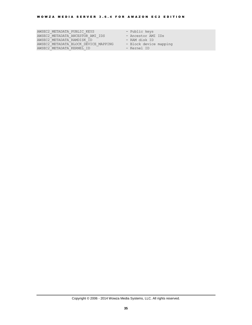AWSEC2 METADATA PUBLIC KEYS - Public keys AWSEC2 METADATA ANCESTOR AMI IDS - Ancestor AMI IDs AWSEC2 METADATA RAMDISK ID - RAM disk ID AWSEC2\_METADATA\_BLOCK\_DEVICE\_MAPPING - Block device mapping AWSEC2 METADATA KERNEL ID - Kernel ID

- 
- 
- 
- 
-